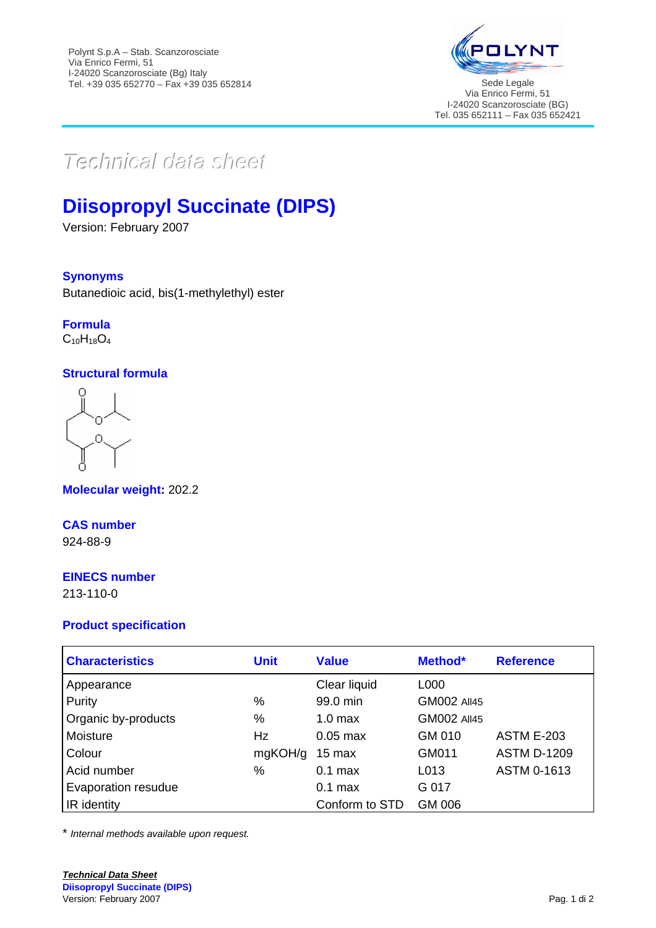

Via Enrico Fermi, 51 I-24020 Scanzorosciate (BG) Tel. 035 652111 – Fax 035 652421

# $Techmical$  data sheett

## **Diisopropyl Succinate (DIPS)**

Version: February 2007

## **Synonyms**

Butanedioic acid, bis(1-methylethyl) ester

#### **Formula**  $C_{10}H_{18}O_4$

## **Structural formula**

**Molecular weight:** 202.2

#### **CAS number** 924-88-9

## **EINECS number**

213-110-0

### **Product specification**

| <b>Characteristics</b> | <b>Unit</b> | <b>Value</b>       | Method*            | <b>Reference</b>   |
|------------------------|-------------|--------------------|--------------------|--------------------|
| Appearance             |             | Clear liquid       | L000               |                    |
| Purity                 | %           | 99.0 min           | <b>GM002 All45</b> |                    |
| Organic by-products    | %           | 1.0 <sub>max</sub> | <b>GM002 All45</b> |                    |
| Moisture               | Hz          | $0.05$ max         | GM 010             | <b>ASTM E-203</b>  |
| Colour                 | mgKOH/g     | 15 max             | GM011              | <b>ASTM D-1209</b> |
| Acid number            | %           | $0.1$ max          | L013               | ASTM 0-1613        |
| Evaporation resudue    |             | $0.1$ max          | G 017              |                    |
| IR identity            |             | Conform to STD     | GM 006             |                    |

\* *Internal methods available upon request.*